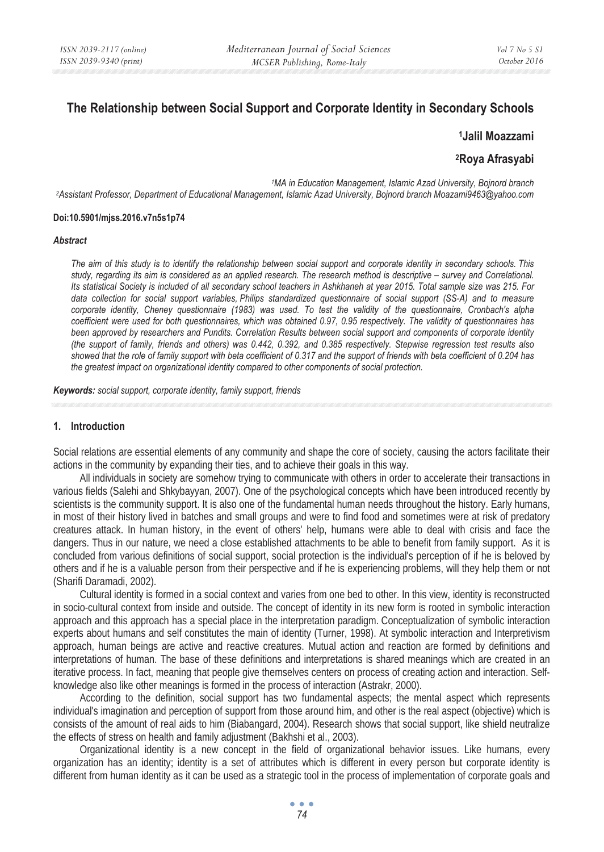# **The Relationship between Social Support and Corporate Identity in Secondary Schools**

**1Jalil Moazzami** 

**2Roya Afrasyabi** 

*1MA in Education Management, Islamic Azad University, Bojnord branch 2Assistant Professor, Department of Educational Management, Islamic Azad University, Bojnord branch Moazami9463@yahoo.com*

#### **Doi:10.5901/mjss.2016.v7n5s1p74**

#### *Abstract*

*The aim of this study is to identify the relationship between social support and corporate identity in secondary schools. This study, regarding its aim is considered as an applied research. The research method is descriptive – survey and Correlational. Its statistical Society is included of all secondary school teachers in Ashkhaneh at year 2015. Total sample size was 215. For*  data collection for social support variables. Philips standardized questionnaire of social support (SS-A) and to measure *corporate identity, Cheney questionnaire (1983) was used. To test the validity of the questionnaire, Cronbach's alpha coefficient were used for both questionnaires, which was obtained 0.97, 0.95 respectively. The validity of questionnaires has been approved by researchers and Pundits. Correlation Results between social support and components of corporate identity (the support of family, friends and others) was 0.442, 0.392, and 0.385 respectively. Stepwise regression test results also showed that the role of family support with beta coefficient of 0.317 and the support of friends with beta coefficient of 0.204 has the greatest impact on organizational identity compared to other components of social protection.* 

*Keywords: social support, corporate identity, family support, friends* 

### **1. Introduction**

Social relations are essential elements of any community and shape the core of society, causing the actors facilitate their actions in the community by expanding their ties, and to achieve their goals in this way.

All individuals in society are somehow trying to communicate with others in order to accelerate their transactions in various fields (Salehi and Shkybayyan, 2007). One of the psychological concepts which have been introduced recently by scientists is the community support. It is also one of the fundamental human needs throughout the history. Early humans, in most of their history lived in batches and small groups and were to find food and sometimes were at risk of predatory creatures attack. In human history, in the event of others' help, humans were able to deal with crisis and face the dangers. Thus in our nature, we need a close established attachments to be able to benefit from family support. As it is concluded from various definitions of social support, social protection is the individual's perception of if he is beloved by others and if he is a valuable person from their perspective and if he is experiencing problems, will they help them or not (Sharifi Daramadi, 2002).

Cultural identity is formed in a social context and varies from one bed to other. In this view, identity is reconstructed in socio-cultural context from inside and outside. The concept of identity in its new form is rooted in symbolic interaction approach and this approach has a special place in the interpretation paradigm. Conceptualization of symbolic interaction experts about humans and self constitutes the main of identity (Turner, 1998). At symbolic interaction and Interpretivism approach, human beings are active and reactive creatures. Mutual action and reaction are formed by definitions and interpretations of human. The base of these definitions and interpretations is shared meanings which are created in an iterative process. In fact, meaning that people give themselves centers on process of creating action and interaction. Selfknowledge also like other meanings is formed in the process of interaction (Astrakr, 2000).

According to the definition, social support has two fundamental aspects; the mental aspect which represents individual's imagination and perception of support from those around him, and other is the real aspect (objective) which is consists of the amount of real aids to him (Biabangard, 2004). Research shows that social support, like shield neutralize the effects of stress on health and family adjustment (Bakhshi et al., 2003).

Organizational identity is a new concept in the field of organizational behavior issues. Like humans, every organization has an identity; identity is a set of attributes which is different in every person but corporate identity is different from human identity as it can be used as a strategic tool in the process of implementation of corporate goals and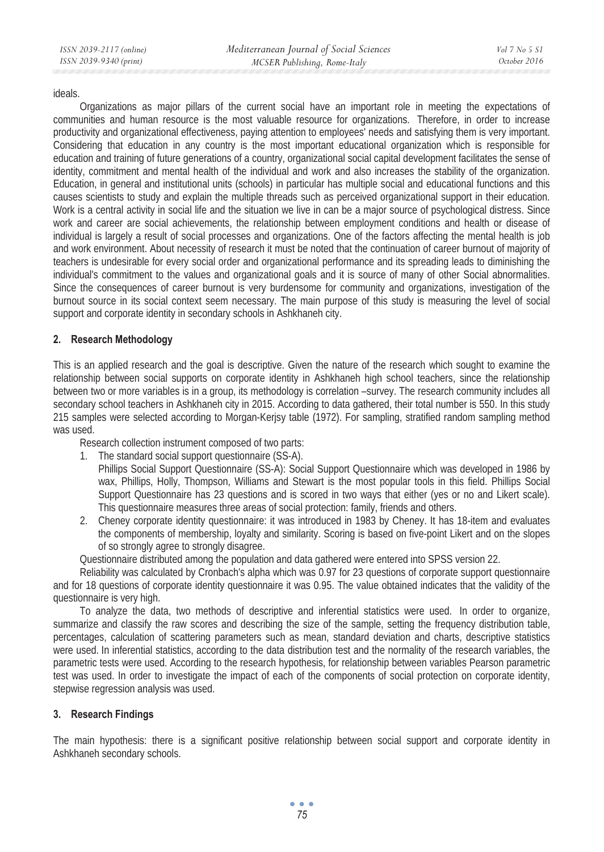### ideals.

Organizations as major pillars of the current social have an important role in meeting the expectations of communities and human resource is the most valuable resource for organizations. Therefore, in order to increase productivity and organizational effectiveness, paying attention to employees' needs and satisfying them is very important. Considering that education in any country is the most important educational organization which is responsible for education and training of future generations of a country, organizational social capital development facilitates the sense of identity, commitment and mental health of the individual and work and also increases the stability of the organization. Education, in general and institutional units (schools) in particular has multiple social and educational functions and this causes scientists to study and explain the multiple threads such as perceived organizational support in their education. Work is a central activity in social life and the situation we live in can be a major source of psychological distress. Since work and career are social achievements, the relationship between employment conditions and health or disease of individual is largely a result of social processes and organizations. One of the factors affecting the mental health is job and work environment. About necessity of research it must be noted that the continuation of career burnout of majority of teachers is undesirable for every social order and organizational performance and its spreading leads to diminishing the individual's commitment to the values and organizational goals and it is source of many of other Social abnormalities. Since the consequences of career burnout is very burdensome for community and organizations, investigation of the burnout source in its social context seem necessary. The main purpose of this study is measuring the level of social support and corporate identity in secondary schools in Ashkhaneh city.

# **2. Research Methodology**

This is an applied research and the goal is descriptive. Given the nature of the research which sought to examine the relationship between social supports on corporate identity in Ashkhaneh high school teachers, since the relationship between two or more variables is in a group, its methodology is correlation –survey. The research community includes all secondary school teachers in Ashkhaneh city in 2015. According to data gathered, their total number is 550. In this study 215 samples were selected according to Morgan-Kerjsy table (1972). For sampling, stratified random sampling method was used.

Research collection instrument composed of two parts:

- 1. The standard social support questionnaire (SS-A).
	- Phillips Social Support Questionnaire (SS-A): Social Support Questionnaire which was developed in 1986 by wax, Phillips, Holly, Thompson, Williams and Stewart is the most popular tools in this field. Phillips Social Support Questionnaire has 23 questions and is scored in two ways that either (yes or no and Likert scale). This questionnaire measures three areas of social protection: family, friends and others.
- 2. Cheney corporate identity questionnaire: it was introduced in 1983 by Cheney. It has 18-item and evaluates the components of membership, loyalty and similarity. Scoring is based on five-point Likert and on the slopes of so strongly agree to strongly disagree.
- Questionnaire distributed among the population and data gathered were entered into SPSS version 22.

Reliability was calculated by Cronbach's alpha which was 0.97 for 23 questions of corporate support questionnaire and for 18 questions of corporate identity questionnaire it was 0.95. The value obtained indicates that the validity of the questionnaire is very high.

To analyze the data, two methods of descriptive and inferential statistics were used. In order to organize, summarize and classify the raw scores and describing the size of the sample, setting the frequency distribution table, percentages, calculation of scattering parameters such as mean, standard deviation and charts, descriptive statistics were used. In inferential statistics, according to the data distribution test and the normality of the research variables, the parametric tests were used. According to the research hypothesis, for relationship between variables Pearson parametric test was used. In order to investigate the impact of each of the components of social protection on corporate identity, stepwise regression analysis was used.

# **3. Research Findings**

The main hypothesis: there is a significant positive relationship between social support and corporate identity in Ashkhaneh secondary schools.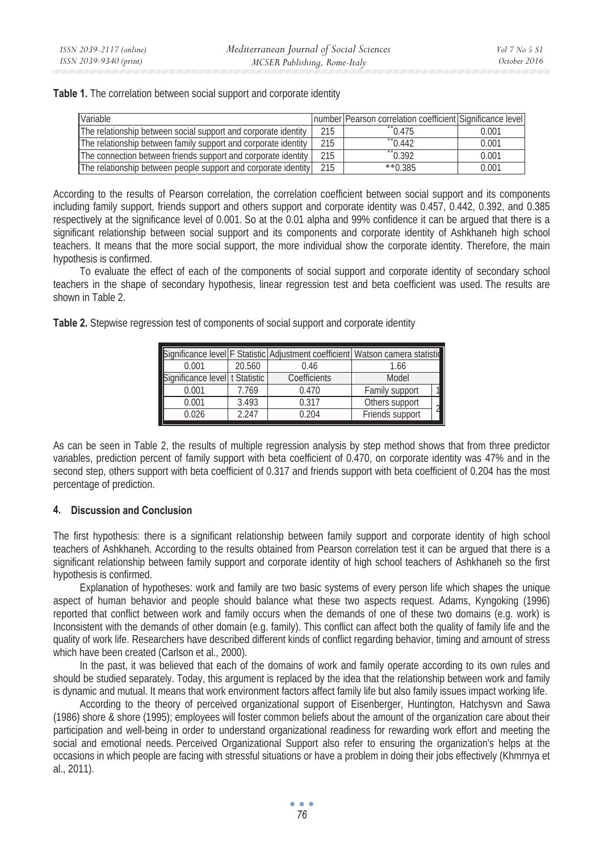|  |  | Table 1. The correlation between social support and corporate identity |
|--|--|------------------------------------------------------------------------|
|  |  |                                                                        |

| Variable                                                       |     | Inumber   Pearson correlation coefficient   Significance level |       |
|----------------------------------------------------------------|-----|----------------------------------------------------------------|-------|
| The relationship between social support and corporate identity | 215 | $*$ 0.475                                                      | 0.001 |
| The relationship between family support and corporate identity | 215 | $*$ 0.442                                                      | 0.001 |
| The connection between friends support and corporate identity  | 215 | $*$ 0.392                                                      | 0.001 |
| The relationship between people support and corporate identity | 215 | $*$ $*$ 0.385                                                  | 0.001 |

According to the results of Pearson correlation, the correlation coefficient between social support and its components including family support, friends support and others support and corporate identity was 0.457, 0.442, 0.392, and 0.385 respectively at the significance level of 0.001. So at the 0.01 alpha and 99% confidence it can be argued that there is a significant relationship between social support and its components and corporate identity of Ashkhaneh high school teachers. It means that the more social support, the more individual show the corporate identity. Therefore, the main hypothesis is confirmed.

To evaluate the effect of each of the components of social support and corporate identity of secondary school teachers in the shape of secondary hypothesis, linear regression test and beta coefficient was used. The results are shown in Table 2.

**Table 2.** Stepwise regression test of components of social support and corporate identity

|                                |        | Significance level F Statistic Adjustment coefficient Watson camera statistic |                 |  |
|--------------------------------|--------|-------------------------------------------------------------------------------|-----------------|--|
| 0.001                          | 20.560 | 0.46                                                                          | 1.66            |  |
| Significance level t Statistic |        | Coefficients                                                                  | Model           |  |
| 0.001                          | 7.769  | 0.470                                                                         | Family support  |  |
| 0.001                          | 3.493  | 0.317                                                                         | Others support  |  |
| 0.026                          | 2.247  | 0.204                                                                         | Friends support |  |

As can be seen in Table 2, the results of multiple regression analysis by step method shows that from three predictor variables, prediction percent of family support with beta coefficient of 0.470, on corporate identity was 47% and in the second step, others support with beta coefficient of 0.317 and friends support with beta coefficient of 0.204 has the most percentage of prediction.

# **4. Discussion and Conclusion**

The first hypothesis: there is a significant relationship between family support and corporate identity of high school teachers of Ashkhaneh. According to the results obtained from Pearson correlation test it can be argued that there is a significant relationship between family support and corporate identity of high school teachers of Ashkhaneh so the first hypothesis is confirmed.

Explanation of hypotheses: work and family are two basic systems of every person life which shapes the unique aspect of human behavior and people should balance what these two aspects request. Adams, Kyngoking (1996) reported that conflict between work and family occurs when the demands of one of these two domains (e.g. work) is Inconsistent with the demands of other domain (e.g. family). This conflict can affect both the quality of family life and the quality of work life. Researchers have described different kinds of conflict regarding behavior, timing and amount of stress which have been created (Carlson et al., 2000).

In the past, it was believed that each of the domains of work and family operate according to its own rules and should be studied separately. Today, this argument is replaced by the idea that the relationship between work and family is dynamic and mutual. It means that work environment factors affect family life but also family issues impact working life.

According to the theory of perceived organizational support of Eisenberger, Huntington, Hatchysvn and Sawa (1986) shore & shore (1995); employees will foster common beliefs about the amount of the organization care about their participation and well-being in order to understand organizational readiness for rewarding work effort and meeting the social and emotional needs. Perceived Organizational Support also refer to ensuring the organization's helps at the occasions in which people are facing with stressful situations or have a problem in doing their jobs effectively (Khmrnya et al., 2011).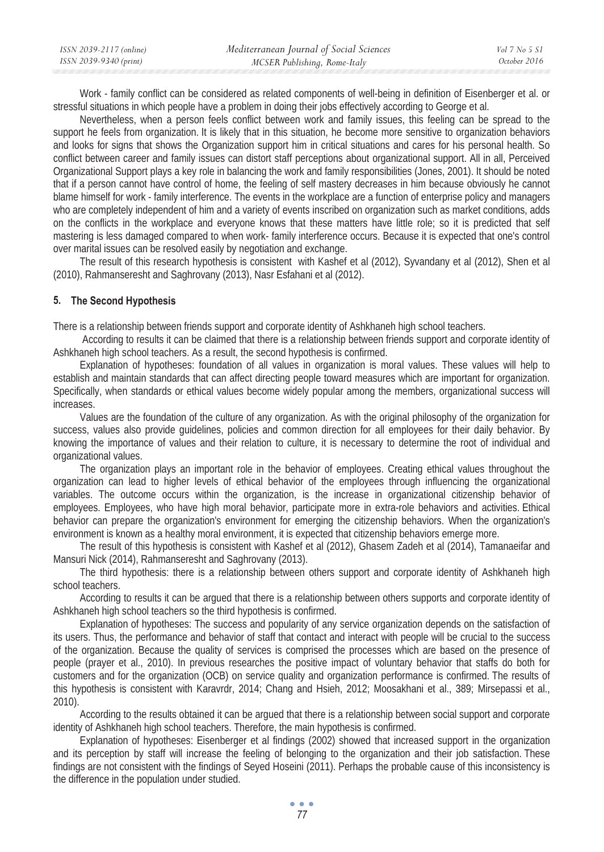| ISSN 2039-2117 (online) | Mediterranean Journal of Social Sciences | Vol 7 No 5 S1 |
|-------------------------|------------------------------------------|---------------|
| ISSN 2039-9340 (print)  | MCSER Publishing, Rome-Italy             | October 2016  |

Work - family conflict can be considered as related components of well-being in definition of Eisenberger et al. or stressful situations in which people have a problem in doing their jobs effectively according to George et al.

Nevertheless, when a person feels conflict between work and family issues, this feeling can be spread to the support he feels from organization. It is likely that in this situation, he become more sensitive to organization behaviors and looks for signs that shows the Organization support him in critical situations and cares for his personal health. So conflict between career and family issues can distort staff perceptions about organizational support. All in all, Perceived Organizational Support plays a key role in balancing the work and family responsibilities (Jones, 2001). It should be noted that if a person cannot have control of home, the feeling of self mastery decreases in him because obviously he cannot blame himself for work - family interference. The events in the workplace are a function of enterprise policy and managers who are completely independent of him and a variety of events inscribed on organization such as market conditions, adds on the conflicts in the workplace and everyone knows that these matters have little role; so it is predicted that self mastering is less damaged compared to when work- family interference occurs. Because it is expected that one's control over marital issues can be resolved easily by negotiation and exchange.

The result of this research hypothesis is consistent with Kashef et al (2012), Syvandany et al (2012), Shen et al (2010), Rahmanseresht and Saghrovany (2013), Nasr Esfahani et al (2012).

# **5. The Second Hypothesis**

There is a relationship between friends support and corporate identity of Ashkhaneh high school teachers.

 According to results it can be claimed that there is a relationship between friends support and corporate identity of Ashkhaneh high school teachers. As a result, the second hypothesis is confirmed.

Explanation of hypotheses: foundation of all values in organization is moral values. These values will help to establish and maintain standards that can affect directing people toward measures which are important for organization. Specifically, when standards or ethical values become widely popular among the members, organizational success will increases.

Values are the foundation of the culture of any organization. As with the original philosophy of the organization for success, values also provide guidelines, policies and common direction for all employees for their daily behavior. By knowing the importance of values and their relation to culture, it is necessary to determine the root of individual and organizational values.

The organization plays an important role in the behavior of employees. Creating ethical values throughout the organization can lead to higher levels of ethical behavior of the employees through influencing the organizational variables. The outcome occurs within the organization, is the increase in organizational citizenship behavior of employees. Employees, who have high moral behavior, participate more in extra-role behaviors and activities. Ethical behavior can prepare the organization's environment for emerging the citizenship behaviors. When the organization's environment is known as a healthy moral environment, it is expected that citizenship behaviors emerge more.

The result of this hypothesis is consistent with Kashef et al (2012), Ghasem Zadeh et al (2014), Tamanaeifar and Mansuri Nick (2014), Rahmanseresht and Saghrovany (2013).

The third hypothesis: there is a relationship between others support and corporate identity of Ashkhaneh high school teachers.

According to results it can be argued that there is a relationship between others supports and corporate identity of Ashkhaneh high school teachers so the third hypothesis is confirmed.

Explanation of hypotheses: The success and popularity of any service organization depends on the satisfaction of its users. Thus, the performance and behavior of staff that contact and interact with people will be crucial to the success of the organization. Because the quality of services is comprised the processes which are based on the presence of people (prayer et al., 2010). In previous researches the positive impact of voluntary behavior that staffs do both for customers and for the organization (OCB) on service quality and organization performance is confirmed. The results of this hypothesis is consistent with Karavrdr, 2014; Chang and Hsieh, 2012; Moosakhani et al., 389; Mirsepassi et al., 2010).

According to the results obtained it can be argued that there is a relationship between social support and corporate identity of Ashkhaneh high school teachers. Therefore, the main hypothesis is confirmed.

Explanation of hypotheses: Eisenberger et al findings (2002) showed that increased support in the organization and its perception by staff will increase the feeling of belonging to the organization and their job satisfaction. These findings are not consistent with the findings of Seyed Hoseini (2011). Perhaps the probable cause of this inconsistency is the difference in the population under studied.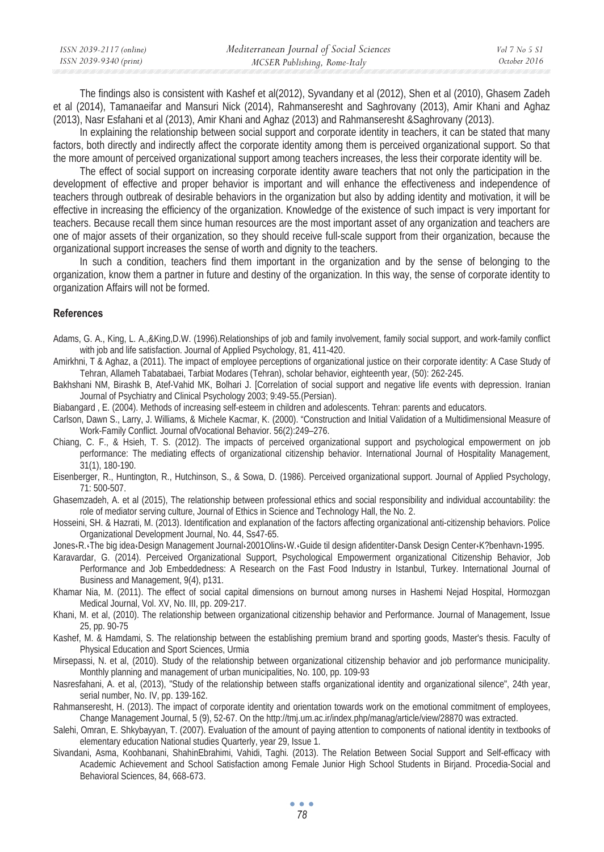| ISSN 2039-2117 (online) | Mediterranean Journal of Social Sciences | Vol 7 No 5 S1 |
|-------------------------|------------------------------------------|---------------|
| ISSN 2039-9340 (print)  | MCSER Publishing, Rome-Italy             | October 2016  |

The findings also is consistent with Kashef et al(2012), Syvandany et al (2012), Shen et al (2010), Ghasem Zadeh et al (2014), Tamanaeifar and Mansuri Nick (2014), Rahmanseresht and Saghrovany (2013), Amir Khani and Aghaz (2013), Nasr Esfahani et al (2013), Amir Khani and Aghaz (2013) and Rahmanseresht &Saghrovany (2013).

In explaining the relationship between social support and corporate identity in teachers, it can be stated that many factors, both directly and indirectly affect the corporate identity among them is perceived organizational support. So that the more amount of perceived organizational support among teachers increases, the less their corporate identity will be.

The effect of social support on increasing corporate identity aware teachers that not only the participation in the development of effective and proper behavior is important and will enhance the effectiveness and independence of teachers through outbreak of desirable behaviors in the organization but also by adding identity and motivation, it will be effective in increasing the efficiency of the organization. Knowledge of the existence of such impact is very important for teachers. Because recall them since human resources are the most important asset of any organization and teachers are one of major assets of their organization, so they should receive full-scale support from their organization, because the organizational support increases the sense of worth and dignity to the teachers.

In such a condition, teachers find them important in the organization and by the sense of belonging to the organization, know them a partner in future and destiny of the organization. In this way, the sense of corporate identity to organization Affairs will not be formed.

# **References**

Adams, G. A., King, L. A.,&King,D.W. (1996).Relationships of job and family involvement, family social support, and work-family conflict with job and life satisfaction. Journal of Applied Psychology, 81, 411-420.

- Amirkhni, T & Aghaz, a (2011). The impact of employee perceptions of organizational justice on their corporate identity: A Case Study of Tehran, Allameh Tabatabaei, Tarbiat Modares (Tehran), scholar behavior, eighteenth year, (50): 262-245.
- Bakhshani NM, Birashk B, Atef-Vahid MK, Bolhari J. [Correlation of social support and negative life events with depression. Iranian Journal of Psychiatry and Clinical Psychology 2003; 9:49-55.(Persian).

Biabangard , E. (2004). Methods of increasing self-esteem in children and adolescents. Tehran: parents and educators.

- Carlson, Dawn S., Larry, J. Williams, & Michele Kacmar, K. (2000). "Construction and Initial Validation of a Multidimensional Measure of Work-Family Conflict. Journal ofVocational Behavior. 56(2):249–276.
- Chiang, C. F., & Hsieh, T. S. (2012). The impacts of perceived organizational support and psychological empowerment on job performance: The mediating effects of organizational citizenship behavior. International Journal of Hospitality Management, 31(1), 180-190.
- Eisenberger, R., Huntington, R., Hutchinson, S., & Sowa, D. (1986). Perceived organizational support. Journal of Applied Psychology, 71: 500-507.

Ghasemzadeh, A. et al (2015), The relationship between professional ethics and social responsibility and individual accountability: the role of mediator serving culture, Journal of Ethics in Science and Technology Hall, the No. 2.

Hosseini, SH. & Hazrati, M. (2013). Identification and explanation of the factors affecting organizational anti-citizenship behaviors. Police Organizational Development Journal, No. 44, Ss47-65.

Jones«R.«The big idea«Design Management Journal«2001Olins«W.«Guide til design afidentiter«Dansk Design Center«K?benhavn«1995.

Karavardar, G. (2014). Perceived Organizational Support, Psychological Empowerment organizational Citizenship Behavior, Job Performance and Job Embeddedness: A Research on the Fast Food Industry in Istanbul, Turkey. International Journal of Business and Management, 9(4), p131.

Khamar Nia, M. (2011). The effect of social capital dimensions on burnout among nurses in Hashemi Nejad Hospital, Hormozgan Medical Journal, Vol. XV, No. III, pp. 209-217.

Khani, M. et al, (2010). The relationship between organizational citizenship behavior and Performance. Journal of Management, Issue 25, pp. 90-75

Kashef, M. & Hamdami, S. The relationship between the establishing premium brand and sporting goods, Master's thesis. Faculty of Physical Education and Sport Sciences, Urmia

Mirsepassi, N. et al, (2010). Study of the relationship between organizational citizenship behavior and job performance municipality. Monthly planning and management of urban municipalities, No. 100, pp. 109-93

Nasresfahani, A. et al, (2013), "Study of the relationship between staffs organizational identity and organizational silence", 24th year, serial number, No. IV, pp. 139-162.

Rahmanseresht, H. (2013). The impact of corporate identity and orientation towards work on the emotional commitment of employees, Change Management Journal, 5 (9), 52-67. On the http://tmj.um.ac.ir/index.php/manag/article/view/28870 was extracted.

Salehi, Omran, E. Shkybayyan, T. (2007). Evaluation of the amount of paying attention to components of national identity in textbooks of elementary education National studies Quarterly, year 29, Issue 1.

Sivandani, Asma, Koohbanani, ShahinEbrahimi, Vahidi, Taghi. (2013). The Relation Between Social Support and Self-efficacy with Academic Achievement and School Satisfaction among Female Junior High School Students in Birjand. Procedia-Social and Behavioral Sciences, 84, 668-673.